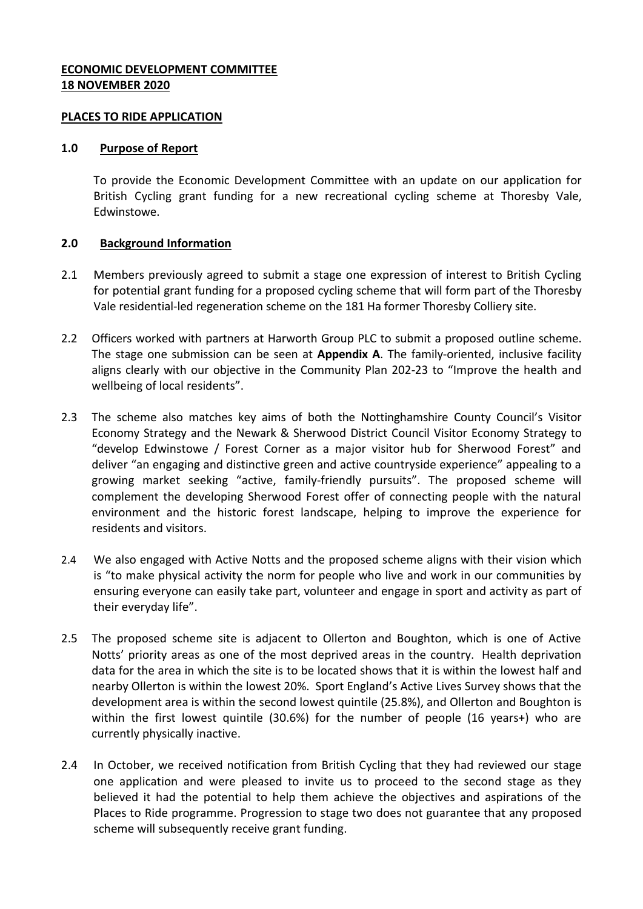### **ECONOMIC DEVELOPMENT COMMITTEE 18 NOVEMBER 2020**

### **PLACES TO RIDE APPLICATION**

#### **1.0 Purpose of Report**

To provide the Economic Development Committee with an update on our application for British Cycling grant funding for a new recreational cycling scheme at Thoresby Vale, Edwinstowe.

### **2.0 Background Information**

- 2.1 Members previously agreed to submit a stage one expression of interest to British Cycling for potential grant funding for a proposed cycling scheme that will form part of the Thoresby Vale residential-led regeneration scheme on the 181 Ha former Thoresby Colliery site.
- 2.2 Officers worked with partners at Harworth Group PLC to submit a proposed outline scheme. The stage one submission can be seen at **Appendix A**. The family-oriented, inclusive facility aligns clearly with our objective in the Community Plan 202-23 to "Improve the health and wellbeing of local residents".
- 2.3 The scheme also matches key aims of both the Nottinghamshire County Council's Visitor Economy Strategy and the Newark & Sherwood District Council Visitor Economy Strategy to "develop Edwinstowe / Forest Corner as a major visitor hub for Sherwood Forest" and deliver "an engaging and distinctive green and active countryside experience" appealing to a growing market seeking "active, family-friendly pursuits". The proposed scheme will complement the developing Sherwood Forest offer of connecting people with the natural environment and the historic forest landscape, helping to improve the experience for residents and visitors.
- 2.4 We also engaged with Active Notts and the proposed scheme aligns with their vision which is "to make physical activity the norm for people who live and work in our communities by ensuring everyone can easily take part, volunteer and engage in sport and activity as part of their everyday life".
- 2.5 The proposed scheme site is adjacent to Ollerton and Boughton, which is one of Active Notts' priority areas as one of the most deprived areas in the country. Health deprivation data for the area in which the site is to be located shows that it is within the lowest half and nearby Ollerton is within the lowest 20%. Sport England's Active Lives Survey shows that the development area is within the second lowest quintile (25.8%), and Ollerton and Boughton is within the first lowest quintile (30.6%) for the number of people (16 years+) who are currently physically inactive.
- 2.4 In October, we received notification from British Cycling that they had reviewed our stage one application and were pleased to invite us to proceed to the second stage as they believed it had the potential to help them achieve the objectives and aspirations of the Places to Ride programme. Progression to stage two does not guarantee that any proposed scheme will subsequently receive grant funding.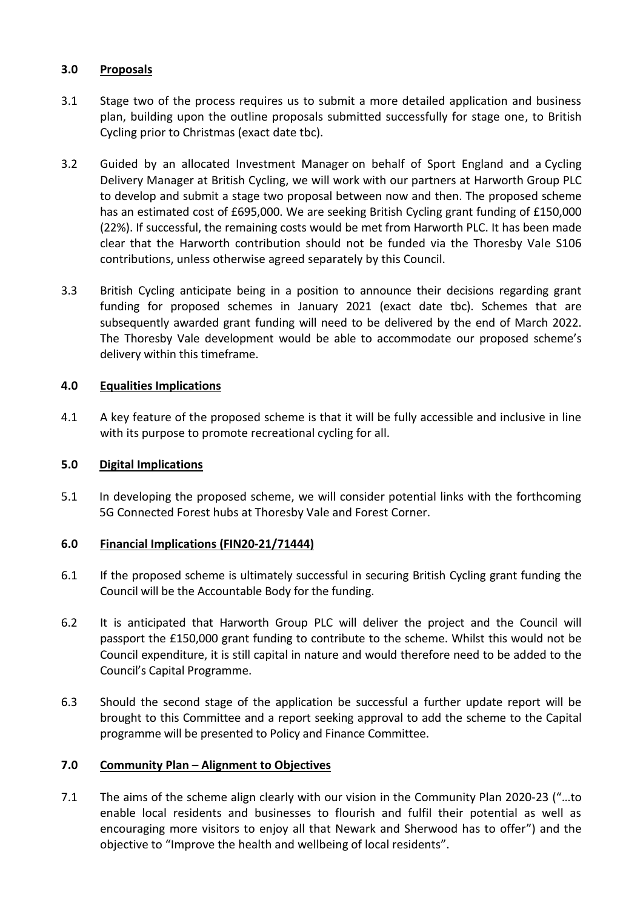## **3.0 Proposals**

- 3.1 Stage two of the process requires us to submit a more detailed application and business plan, building upon the outline proposals submitted successfully for stage one, to British Cycling prior to Christmas (exact date tbc).
- 3.2 Guided by an allocated Investment Manager on behalf of Sport England and a Cycling Delivery Manager at British Cycling, we will work with our partners at Harworth Group PLC to develop and submit a stage two proposal between now and then. The proposed scheme has an estimated cost of £695,000. We are seeking British Cycling grant funding of £150,000 (22%). If successful, the remaining costs would be met from Harworth PLC. It has been made clear that the Harworth contribution should not be funded via the Thoresby Vale S106 contributions, unless otherwise agreed separately by this Council.
- 3.3 British Cycling anticipate being in a position to announce their decisions regarding grant funding for proposed schemes in January 2021 (exact date tbc). Schemes that are subsequently awarded grant funding will need to be delivered by the end of March 2022. The Thoresby Vale development would be able to accommodate our proposed scheme's delivery within this timeframe.

# **4.0 Equalities Implications**

4.1 A key feature of the proposed scheme is that it will be fully accessible and inclusive in line with its purpose to promote recreational cycling for all.

# **5.0 Digital Implications**

5.1 In developing the proposed scheme, we will consider potential links with the forthcoming 5G Connected Forest hubs at Thoresby Vale and Forest Corner.

# **6.0 Financial Implications (FIN20-21/71444)**

- 6.1 If the proposed scheme is ultimately successful in securing British Cycling grant funding the Council will be the Accountable Body for the funding.
- 6.2 It is anticipated that Harworth Group PLC will deliver the project and the Council will passport the £150,000 grant funding to contribute to the scheme. Whilst this would not be Council expenditure, it is still capital in nature and would therefore need to be added to the Council's Capital Programme.
- 6.3 Should the second stage of the application be successful a further update report will be brought to this Committee and a report seeking approval to add the scheme to the Capital programme will be presented to Policy and Finance Committee.

### **7.0 Community Plan – Alignment to Objectives**

7.1 The aims of the scheme align clearly with our vision in the Community Plan 2020-23 ("…to enable local residents and businesses to flourish and fulfil their potential as well as encouraging more visitors to enjoy all that Newark and Sherwood has to offer") and the objective to "Improve the health and wellbeing of local residents".